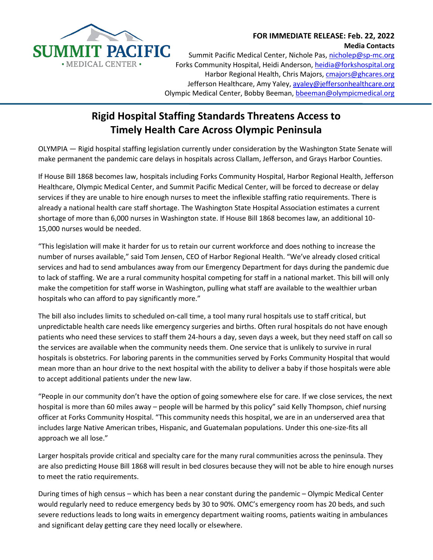

## **FOR IMMEDIATE RELEASE: Feb. 22, 2022 Media Contacts**

Summit Pacific Medical Center, Nichole Pas, [nicholep@sp-mc.org](mailto:nicholep@sp-mc.org) Forks Community Hospital, Heidi Anderson, [heidia@forkshospital.org](mailto:heidia@forkshospital.org) Harbor Regional Health, Chris Majors, [cmajors@ghcares.org](mailto:cmajors@ghcares.org)  Jefferson Healthcare, Amy Yaley, ayaley@jeffersonhealthcare.org Olympic Medical Center, Bobby Beeman, bbeeman@olympicmedical.org

## **Rigid Hospital Staffing Standards Threatens Access to Timely Health Care Across Olympic Peninsula**

OLYMPIA — Rigid hospital staffing legislation currently under consideration by the Washington State Senate will make permanent the pandemic care delays in hospitals across Clallam, Jefferson, and Grays Harbor Counties.

If House Bill 1868 becomes law, hospitals including Forks Community Hospital, Harbor Regional Health, Jefferson Healthcare, Olympic Medical Center, and Summit Pacific Medical Center, will be forced to decrease or delay services if they are unable to hire enough nurses to meet the inflexible staffing ratio requirements. There is already a national health care staff shortage. The Washington State Hospital Association estimates a current shortage of more than 6,000 nurses in Washington state. If House Bill 1868 becomes law, an additional 10- 15,000 nurses would be needed.

"This legislation will make it harder for us to retain our current workforce and does nothing to increase the number of nurses available," said Tom Jensen, CEO of Harbor Regional Health. "We've already closed critical services and had to send ambulances away from our Emergency Department for days during the pandemic due to lack of staffing. We are a rural community hospital competing for staff in a national market. This bill will only make the competition for staff worse in Washington, pulling what staff are available to the wealthier urban hospitals who can afford to pay significantly more."

The bill also includes limits to scheduled on-call time, a tool many rural hospitals use to staff critical, but unpredictable health care needs like emergency surgeries and births. Often rural hospitals do not have enough patients who need these services to staff them 24-hours a day, seven days a week, but they need staff on call so the services are available when the community needs them. One service that is unlikely to survive in rural hospitals is obstetrics. For laboring parents in the communities served by Forks Community Hospital that would mean more than an hour drive to the next hospital with the ability to deliver a baby if those hospitals were able to accept additional patients under the new law.

"People in our community don't have the option of going somewhere else for care. If we close services, the next hospital is more than 60 miles away – people will be harmed by this policy" said Kelly Thompson, chief nursing officer at Forks Community Hospital. "This community needs this hospital, we are in an underserved area that includes large Native American tribes, Hispanic, and Guatemalan populations. Under this one-size-fits all approach we all lose."

Larger hospitals provide critical and specialty care for the many rural communities across the peninsula. They are also predicting House Bill 1868 will result in bed closures because they will not be able to hire enough nurses to meet the ratio requirements.

During times of high census – which has been a near constant during the pandemic – Olympic Medical Center would regularly need to reduce emergency beds by 30 to 90%. OMC's emergency room has 20 beds, and such severe reductions leads to long waits in emergency department waiting rooms, patients waiting in ambulances and significant delay getting care they need locally or elsewhere.